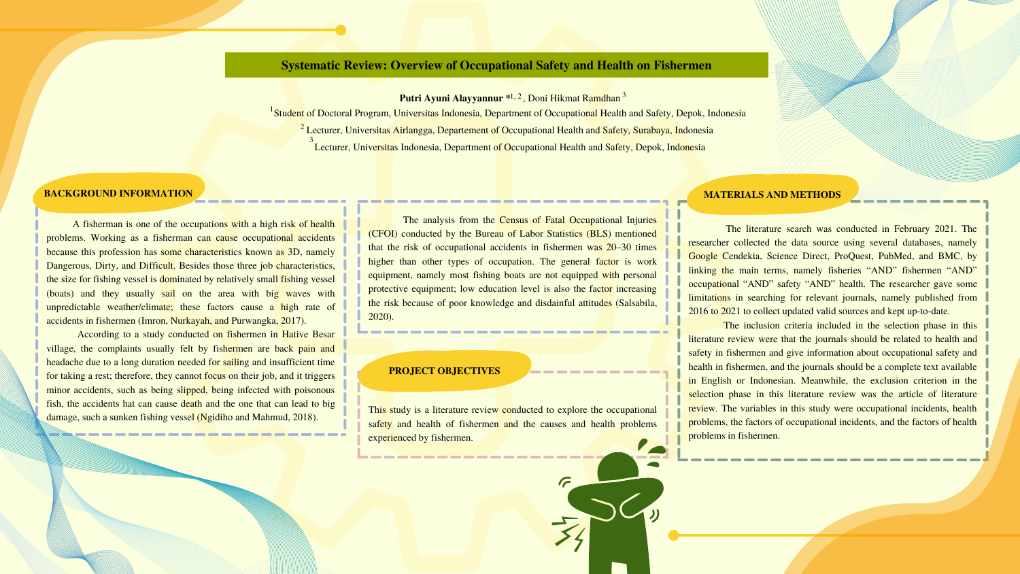### **BACKGROUND INFORMATION**

The literature search was conducted in February 2021. The researcher collected the data source using several databases, namely Google Cendekia, Science Direct, ProQuest, PubMed, and BMC, by linking the main terms, namely fisheries "AND" fishermen "AND" occupational "AND" safety "AND" health. The researcher gave some limitations in searching for relevant journals, namely published from 2016 to 2021 to collect updated valid sources and kept up-to-date.

The inclusion criteria included in the selection phase in this literature review were that the journals should be related to health and safety in fishermen and give information about occupational safety and health in fishermen, and the journals should be a complete text available in English or Indonesian. Meanwhile, the exclusion criterion in the selection phase in this literature review was the article of literature review. The variables in this study were occupational incidents, health problems, the factors of occupational incidents, and the factors of health problems in fishermen.

**Putri Ayuni Alayyannur**  $*1, 2$ , Doni Hikmat Ramdhan<sup>3</sup> <sup>1</sup> Student of Doctoral Program, Universitas Indonesia, Department of Occupational Health and Safety, Depok, Indonesia  $^2$  Lecturer, Universitas Airlangga, Departement of Occupational Health and Safety, Surabaya, Indonesia Lecturer, Universitas Indonesia, Department of Occupational Health and Safety, Depok, Indonesia 3

A fisherman is one of the occupations with a high risk of health problems. Working as a fisherman can cause occupational accidents because this profession has some characteristics known as 3D, namely Dangerous, Dirty, and Difficult. Besides those three job characteristics, the size for fishing vessel is dominated by relatively small fishing vessel (boats) and they usually sail on the area with big waves with unpredictable weather/climate; these factors cause a high rate of accidents in fishermen (Imron, Nurkayah, and Purwangka, 2017).

According to a study conducted on fishermen in Hative Besar village, the complaints usually felt by fishermen are back pain and headache due to a long duration needed for sailing and insufficient time for taking a rest; therefore, they cannot focus on their job, and it triggers minor accidents, such as being slipped, being infected with poisonous fish, the accidents hat can cause death and the one that can lead to big damage, such a sunken fishing vessel (Ngidiho and Mahmud, 2018).

# **Systematic Review: Overview of Occupational Safety and Health on Fishermen**

### **PROJECT OBJECTIVES**

The analysis from the Census of Fatal Occupational Injuries (CFOI) conducted by the Bureau of Labor Statistics (BLS) mentioned that the risk of occupational accidents in fishermen was 20–30 times higher than other types of occupation. The general factor is work equipment, namely most fishing boats are not equipped with personal protective equipment; low education level is also the factor increasing the risk because of poor knowledge and disdainful attitudes (Salsabila, 2020).

This study is a literature review conducted to explore the occupational safety and health of fishermen and the causes and health problems experienced by fishermen.

#### **MATERIALS AND METHODS**